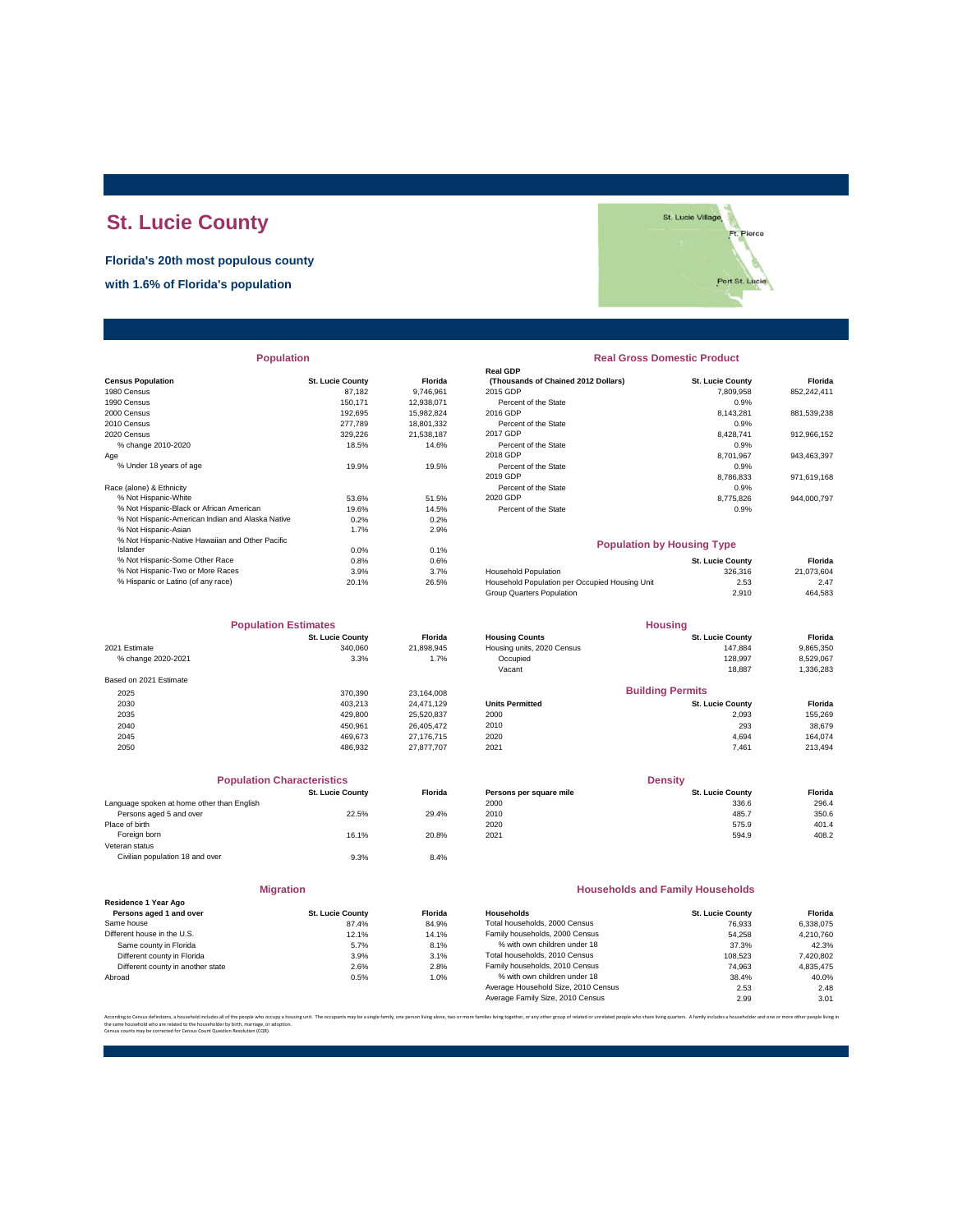# **St. Lucie County**

**Florida's 20th most populous county**

**with 1.6% of Florida's population**



| <b>Population</b> |  |
|-------------------|--|
|                   |  |

|                                                  |                         |            | Real GDP                                       |                         |             |
|--------------------------------------------------|-------------------------|------------|------------------------------------------------|-------------------------|-------------|
| <b>Census Population</b>                         | <b>St. Lucie County</b> | Florida    | (Thousands of Chained 2012 Dollars)            | <b>St. Lucie County</b> | Florida     |
| 1980 Census                                      | 87,182                  | 9,746,961  | 2015 GDP                                       | 7,809,958               | 852,242,411 |
| 1990 Census                                      | 150.171                 | 12.938.071 | Percent of the State                           | 0.9%                    |             |
| 2000 Census                                      | 192.695                 | 15,982,824 | 2016 GDP                                       | 8.143.281               | 881,539,238 |
| 2010 Census                                      | 277,789                 | 18,801,332 | Percent of the State                           | 0.9%                    |             |
| 2020 Census                                      | 329.226                 | 21.538.187 | 2017 GDP                                       | 8.428.741               | 912,966,152 |
| % change 2010-2020                               | 18.5%                   | 14.6%      | Percent of the State                           | 0.9%                    |             |
| Age                                              |                         |            | 2018 GDP                                       | 8,701,967               | 943,463,397 |
| % Under 18 years of age                          | 19.9%                   | 19.5%      | Percent of the State                           | 0.9%                    |             |
|                                                  |                         |            | 2019 GDP                                       | 8,786,833               | 971,619,168 |
| Race (alone) & Ethnicity                         |                         |            | Percent of the State                           | 0.9%                    |             |
| % Not Hispanic-White                             | 53.6%                   | 51.5%      | 2020 GDP                                       | 8,775,826               | 944,000,797 |
| % Not Hispanic-Black or African American         | 19.6%                   | 14.5%      | Percent of the State                           | 0.9%                    |             |
| % Not Hispanic-American Indian and Alaska Native | 0.2%                    | 0.2%       |                                                |                         |             |
| % Not Hispanic-Asian                             | 1.7%                    | 2.9%       |                                                |                         |             |
| % Not Hispanic-Native Hawaiian and Other Pacific |                         |            | <b>Population by Housing Type</b>              |                         |             |
| Islander                                         | 0.0%                    | 0.1%       |                                                |                         |             |
| % Not Hispanic-Some Other Race                   | 0.8%                    | 0.6%       |                                                | <b>St. Lucie County</b> | Florida     |
| % Not Hispanic-Two or More Races                 | 3.9%                    | 3.7%       | <b>Household Population</b>                    | 326,316                 | 21,073,604  |
| % Hispanic or Latino (of any race)               | 20.1%                   | 26.5%      | Household Population per Occupied Housing Unit | 2.53                    | 2.47        |
|                                                  |                         |            |                                                |                         |             |

| <b>Population Estimates</b> |                         | <b>Housing</b> |                            |                         |           |
|-----------------------------|-------------------------|----------------|----------------------------|-------------------------|-----------|
|                             | <b>St. Lucie County</b> | <b>Florida</b> | <b>Housing Counts</b>      | <b>St. Lucie County</b> | Florida   |
| 2021 Estimate               | 340.060                 | 21,898,945     | Housing units, 2020 Census | 147.884                 | 9,865,350 |
| % change 2020-2021          | 3.3%                    | 1.7%           | Occupied                   | 128.997                 | 8,529,067 |
|                             |                         |                | Vacant                     | 18.887                  | 1,336,283 |
| Based on 2021 Estimate      |                         |                |                            |                         |           |
| 2025                        | 370.390                 | 23.164.008     |                            | <b>Building Permits</b> |           |
| 2030                        | 403.213                 | 24.471.129     | <b>Units Permitted</b>     | <b>St. Lucie County</b> | Florida   |
| 2035                        | 429,800                 | 25.520.837     | 2000                       | 2.093                   | 155,269   |
| 2040                        | 450.961                 | 26.405.472     | 2010                       | 293                     | 38,679    |
| 2045                        | 469.673                 | 27.176.715     | 2020                       | 4.694                   | 164.074   |
| 2050                        | 486.932                 | 27.877.707     | 2021                       | 7.461                   | 213,494   |

| <b>Population Characteristics</b>          |                         |                |
|--------------------------------------------|-------------------------|----------------|
|                                            | <b>St. Lucie County</b> | <b>Florida</b> |
| Language spoken at home other than English |                         |                |
| Persons aged 5 and over                    | 22.5%                   | 29.4%          |
| Place of birth                             |                         |                |
| Foreign born                               | 16.1%                   | 20.8%          |
| Veteran status                             |                         |                |
| Civilian population 18 and over            | 9.3%                    | 8.4%           |
|                                            |                         |                |
|                                            |                         |                |

| <b>Migration</b>                                |                         |                |  |  |  |
|-------------------------------------------------|-------------------------|----------------|--|--|--|
| Residence 1 Year Ago<br>Persons aged 1 and over | <b>St. Lucie County</b> | <b>Florida</b> |  |  |  |
| Same house                                      | 87.4%                   | 84.9%          |  |  |  |
| Different house in the U.S.                     | 12.1%                   | 14.1%          |  |  |  |
| Same county in Florida                          | 5.7%                    | 8.1%           |  |  |  |
| Different county in Florida                     | 3.9%                    | 3.1%           |  |  |  |
| Different county in another state               | 2.6%                    | 2.8%           |  |  |  |
| Abroad                                          | 0.5%                    | 1.0%           |  |  |  |

## **Real Gross Domestic Product**

**Real GDP**

| sus Population                           | <b>St. Lucie County</b> | Florida    | (Thousands of Chained 2012 Dollars) | <b>St. Lucie County</b> | Florida     |
|------------------------------------------|-------------------------|------------|-------------------------------------|-------------------------|-------------|
| 0 Census                                 | 87.182                  | 9.746.961  | 2015 GDP                            | 7.809.958               | 852.242.411 |
| 0 Census                                 | 150.171                 | 12.938.071 | Percent of the State                | 0.9%                    |             |
| 0 Census                                 | 192.695                 | 15.982.824 | 2016 GDP                            | 8.143.281               | 881,539,238 |
| 0 Census                                 | 277.789                 | 18,801,332 | Percent of the State                | 0.9%                    |             |
| 0 Census                                 | 329.226                 | 21.538.187 | 2017 GDP                            | 8.428.741               | 912.966.152 |
| % change 2010-2020                       | 18.5%                   | 14.6%      | Percent of the State                | 0.9%                    |             |
|                                          |                         |            | 2018 GDP                            | 8.701.967               | 943.463.397 |
| % Under 18 years of age                  | 19.9%                   | 19.5%      | Percent of the State                | 0.9%                    |             |
|                                          |                         |            | 2019 GDP                            | 8.786.833               | 971,619,168 |
| e (alone) & Ethnicity                    |                         |            | Percent of the State                | 0.9%                    |             |
| % Not Hispanic-White                     | 53.6%                   | 51.5%      | 2020 GDP                            | 8.775.826               | 944.000.797 |
| % Not Hispanic-Black or African American | 19.6%                   | 14.5%      | Percent of the State                | 0.9%                    |             |
|                                          |                         |            |                                     |                         |             |

#### **Population by Housing Type**

| 0.8%  | 0.6%  |                                                | <b>St. Lucie County</b> | Florida    |
|-------|-------|------------------------------------------------|-------------------------|------------|
| 3.9%  | 3.7%  | <b>Household Population</b>                    | 326,316                 | 21.073.604 |
| 20.1% | 26.5% | Household Population per Occupied Housing Unit | 2.53                    | 2.47       |
|       |       | Group Quarters Population                      | 2.910                   | 464.583    |
|       |       |                                                |                         |            |

| <b>Population Estimates</b> |                         |            | <b>Housing</b>             |                         |           |
|-----------------------------|-------------------------|------------|----------------------------|-------------------------|-----------|
|                             | <b>St. Lucie County</b> | Florida    | <b>Housing Counts</b>      | <b>St. Lucie County</b> | Florida   |
| 2021 Estimate               | 340,060                 | 21,898,945 | Housing units, 2020 Census | 147.884                 | 9,865,350 |
| % change 2020-2021          | 3.3%                    | 1.7%       | Occupied                   | 128.997                 | 8,529,067 |
|                             |                         |            | Vacant                     | 18.887                  | 1,336,283 |
| Based on 2021 Estimate      |                         |            |                            |                         |           |
| 2025                        | 370.390                 | 23.164.008 |                            | <b>Building Permits</b> |           |
| 2030                        | 403.213                 | 24.471.129 | <b>Units Permitted</b>     | <b>St. Lucie County</b> | Florida   |
| 2035                        | 429,800                 | 25,520,837 | 2000                       | 2.093                   | 155,269   |
| 2040                        | 450.961                 | 26.405.472 | 2010                       | 293                     | 38,679    |
| 2045                        | 469.673                 | 27.176.715 | 2020                       | 4.694                   | 164.074   |
| $\sim$                      | 100000                  | 27.27772   | 0.001                      | $-101$                  | 0.10.10.1 |

| <b>Population Characteristics</b> |                                            |                         | <b>Density</b>          |         |  |
|-----------------------------------|--------------------------------------------|-------------------------|-------------------------|---------|--|
| <b>St. Lucie County</b>           | <b>Florida</b>                             | Persons per square mile | <b>St. Lucie County</b> | Florida |  |
|                                   |                                            | 2000                    | 336.6                   | 296.4   |  |
| 22.5%                             | 29.4%                                      | 2010                    | 485.7                   | 350.6   |  |
|                                   |                                            | 2020                    | 575.9                   | 401.4   |  |
| 16.1%                             | 20.8%                                      | 2021                    | 594.9                   | 408.2   |  |
|                                   | Language spoken at home other than English |                         |                         |         |  |

#### **Households and Family Households**

| <b>St. Lucie County</b> | <b>Florida</b> | Households                          | <b>St. Lucie County</b> | Florida   |
|-------------------------|----------------|-------------------------------------|-------------------------|-----------|
| 87.4%                   | 84.9%          | Total households, 2000 Census       | 76.933                  | 6.338.075 |
| 12.1%                   | 14.1%          | Family households, 2000 Census      | 54.258                  | 4.210.760 |
| 5.7%                    | 8.1%           | % with own children under 18        | 37.3%                   | 42.3%     |
| 3.9%                    | 3.1%           | Total households, 2010 Census       | 108.523                 | 7,420,802 |
| 2.6%                    | 2.8%           | Family households, 2010 Census      | 74.963                  | 4.835.475 |
| 0.5%                    | 1.0%           | % with own children under 18        | 38.4%                   | 40.0%     |
|                         |                | Average Household Size, 2010 Census | 2.53                    | 2.48      |
|                         |                | Average Family Size, 2010 Census    | 2.99                    | 3.01      |
|                         |                |                                     |                         |           |

.<br>Jes living together, or any other group of related or unrelated neonle who share living quarters. A family includes a householder and one or mo

the same household who are related to the householder by birth, marriage, or adoption. Census counts may be corrected for Census Count Question Resolution (CQR).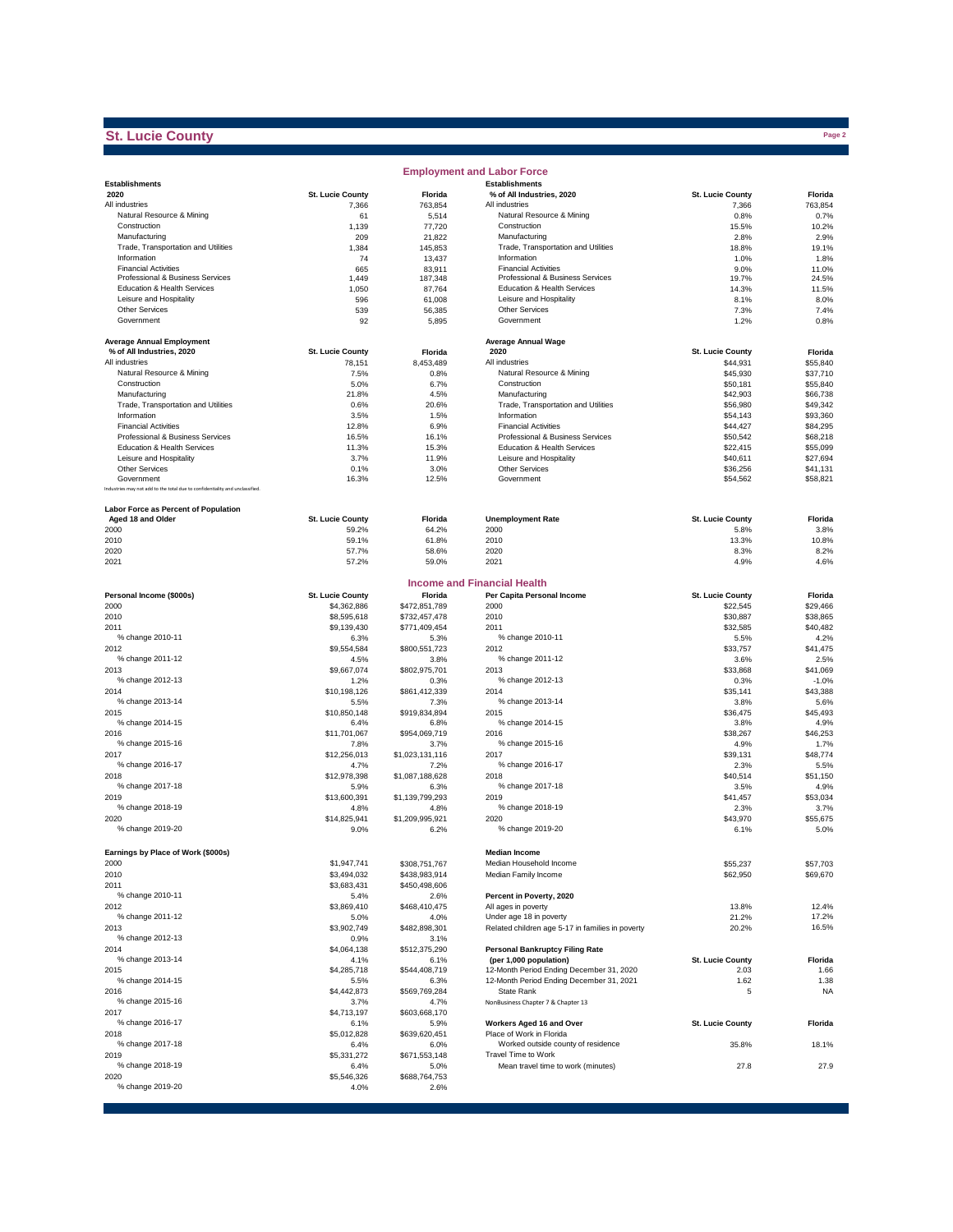### **St. Lucie County**

|                                                                              |                                  |                       | <b>Employment and Labor Force</b>                               |                         |                      |
|------------------------------------------------------------------------------|----------------------------------|-----------------------|-----------------------------------------------------------------|-------------------------|----------------------|
| <b>Establishments</b>                                                        |                                  |                       | <b>Establishments</b>                                           |                         |                      |
| 2020                                                                         | <b>St. Lucie County</b>          | Florida               | % of All Industries, 2020                                       | <b>St. Lucie County</b> | Florida              |
| All industries<br>Natural Resource & Mining                                  | 7,366                            | 763.854               | All industries<br>Natural Resource & Mining                     | 7,366<br>0.8%           | 763,854<br>0.7%      |
| Construction                                                                 | 61<br>1,139                      | 5,514<br>77,720       | Construction                                                    | 15.5%                   | 10.2%                |
| Manufacturing                                                                | 209                              | 21,822                | Manufacturing                                                   | 2.8%                    | 2.9%                 |
| Trade, Transportation and Utilities                                          | 1,384                            | 145,853               | Trade, Transportation and Utilities                             | 18.8%                   | 19.1%                |
| Information                                                                  | 74                               | 13,437                | Information                                                     | 1.0%                    | 1.8%                 |
| <b>Financial Activities</b>                                                  | 665                              | 83,911                | <b>Financial Activities</b>                                     | 9.0%                    | 11.0%                |
| Professional & Business Services                                             | 1,449                            | 187,348               | Professional & Business Services                                | 19.7%                   | 24.5%                |
| Education & Health Services                                                  | 1,050                            | 87,764                | Education & Health Services                                     | 14.3%                   | 11.5%                |
| Leisure and Hospitality                                                      | 596                              | 61,008                | Leisure and Hospitality                                         | 8.1%                    | 8.0%                 |
| Other Services<br>Government                                                 | 539<br>92                        | 56,385<br>5,895       | Other Services<br>Government                                    | 7.3%<br>1.2%            | 7.4%<br>0.8%         |
|                                                                              |                                  |                       |                                                                 |                         |                      |
| <b>Average Annual Employment</b>                                             |                                  |                       | <b>Average Annual Wage</b>                                      |                         |                      |
| % of All Industries, 2020                                                    | St. Lucie County                 | Florida               | 2020                                                            | <b>St. Lucie County</b> | Florida              |
| All industries                                                               | 78,151                           | 8,453,489             | All industries                                                  | \$44.931                | \$55,840             |
| Natural Resource & Mining                                                    | 7.5%                             | 0.8%                  | Natural Resource & Mining                                       | \$45,930                | \$37,710             |
| Construction                                                                 | 5.0%                             | 6.7%                  | Construction                                                    | \$50.181                | \$55,840             |
| Manufacturing                                                                | 21.8%                            | 4.5%                  | Manufacturing                                                   | \$42,903                | \$66,738             |
| Trade, Transportation and Utilities                                          | 0.6%                             | 20.6%                 | Trade, Transportation and Utilities                             | \$56,980                | \$49,342             |
| Information                                                                  | 3.5%                             | 1.5%                  | Information                                                     | \$54,143                | \$93,360             |
| <b>Financial Activities</b><br>Professional & Business Services              | 12.8%                            | 6.9%                  | <b>Financial Activities</b><br>Professional & Business Services | \$44,427                | \$84,295             |
| Education & Health Services                                                  | 16.5%<br>11.3%                   | 16.1%<br>15.3%        | Education & Health Services                                     | \$50,542<br>\$22,415    | \$68,218<br>\$55,099 |
| Leisure and Hospitality                                                      | 3.7%                             | 11.9%                 | Leisure and Hospitality                                         | \$40,611                | \$27,694             |
| Other Services                                                               | 0.1%                             | 3.0%                  | Other Services                                                  | \$36,256                | \$41,131             |
| Government                                                                   | 16.3%                            | 12.5%                 | Government                                                      | \$54,562                | \$58,821             |
| Industries may not add to the total due to confidentiality and unclassified. |                                  |                       |                                                                 |                         |                      |
|                                                                              |                                  |                       |                                                                 |                         |                      |
| Labor Force as Percent of Population                                         |                                  |                       |                                                                 | St. Lucie County        |                      |
| Aged 18 and Older<br>2000                                                    | <b>St. Lucie County</b><br>59.2% | Florida<br>64.2%      | <b>Unemployment Rate</b><br>2000                                | 5.8%                    | Florida<br>3.8%      |
| 2010                                                                         | 59.1%                            | 61.8%                 | 2010                                                            | 13.3%                   | 10.8%                |
| 2020                                                                         | 57.7%                            | 58.6%                 | 2020                                                            | 8.3%                    | 8.2%                 |
| 2021                                                                         | 57.2%                            | 59.0%                 | 2021                                                            | 4.9%                    | 4.6%                 |
|                                                                              |                                  |                       |                                                                 |                         |                      |
|                                                                              |                                  |                       | <b>Income and Financial Health</b>                              |                         |                      |
| Personal Income (\$000s)                                                     | <b>St. Lucie County</b>          | Florida               | Per Capita Personal Income                                      | St. Lucie County        | Florida              |
| 2000                                                                         | \$4.362.886                      | \$472,851,789         | 2000                                                            | \$22,545                | \$29,466             |
| 2010                                                                         | \$8,595,618                      | \$732,457,478         | 2010                                                            | \$30,887                | \$38,865             |
| 2011                                                                         | \$9,139,430                      | \$771,409,454         | 2011                                                            | \$32,585                | \$40,482             |
| % change 2010-11                                                             | 6.3%                             | 5.3%                  | % change 2010-11                                                | 5.5%                    | 4.2%                 |
| 2012                                                                         | \$9,554,584                      | \$800,551,723         | 2012                                                            | \$33,757                | \$41,475             |
| % change 2011-12                                                             | 4.5%                             | 3.8%                  | % change 2011-12                                                | 3.6%                    | 2.5%                 |
| 2013<br>% change 2012-13                                                     | \$9,667,074                      | \$802,975,701         | 2013<br>% change 2012-13                                        | \$33,868                | \$41,069             |
| 2014                                                                         | 1.2%<br>\$10,198,126             | 0.3%<br>\$861,412,339 | 2014                                                            | 0.3%<br>\$35,141        | $-1.0%$<br>\$43,388  |
| % change 2013-14                                                             | 5.5%                             | 7.3%                  | % change 2013-14                                                | 3.8%                    | 5.6%                 |
| 2015                                                                         | \$10,850,148                     | \$919,834,894         | 2015                                                            | \$36,475                | \$45,493             |
| % change 2014-15                                                             | 6.4%                             | 6.8%                  | % change 2014-15                                                | 3.8%                    | 4.9%                 |
| 2016                                                                         | \$11,701,067                     | \$954,069,719         | 2016                                                            | \$38,267                | \$46,253             |
| % change 2015-16                                                             | 7.8%                             | 3.7%                  | % change 2015-16                                                | 4.9%                    | 1.7%                 |
| 2017                                                                         | \$12,256,013                     | \$1,023,131,116       | 2017                                                            | \$39,131                | \$48,774             |
| % change 2016-17                                                             | 4.7%                             | 7.2%                  | % change 2016-17                                                | 2.3%                    | 5.5%                 |
| 2018                                                                         | \$12,978,398                     | \$1,087,188,628       | 2018                                                            | \$40.514                | \$51,150             |
| % change 2017-18                                                             | 5.9%                             | 6.3%                  | % change 2017-18                                                | 3.5%                    | 4.9%                 |
| 2019                                                                         | \$13,600,391                     | \$1,139,799,293       | 2019                                                            | \$41.457                | \$53,034             |
| % change 2018-19                                                             | 4.8%                             | 4.8%                  | % change 2018-19                                                | 2.3%                    | 3.7%                 |
| 2020<br>% change 2019-20                                                     | \$14,825,941                     | \$1,209,995,921       | 2020<br>% change 2019-20                                        | \$43,970                | \$55,675             |
|                                                                              | 9.0%                             | 6.2%                  |                                                                 | 6.1%                    | 5.0%                 |
| Earnings by Place of Work (\$000s)                                           |                                  |                       | <b>Median Income</b>                                            |                         |                      |
| 2000                                                                         | \$1,947,741                      | \$308,751,767         | Median Household Income                                         | \$55,237                | \$57,703             |
| 2010                                                                         | \$3,494,032                      | \$438,983,914         | Median Family Income                                            | \$62,950                | \$69,670             |
| 2011                                                                         | \$3,683,431                      | \$450,498,606         |                                                                 |                         |                      |
| % change 2010-11                                                             | 5.4%                             | 2.6%                  | Percent in Poverty, 2020                                        |                         |                      |
| 2012                                                                         | \$3,869,410                      | \$468,410,475         | All ages in poverty                                             | 13.8%                   | 12.4%                |
| % change 2011-12                                                             | 5.0%                             | 4.0%                  | Under age 18 in poverty                                         | 21.2%                   | 17.2%                |
| 2013                                                                         | \$3,902,749                      | \$482,898,301         | Related children age 5-17 in families in poverty                | 20.2%                   | 16.5%                |
| % change 2012-13                                                             | 0.9%                             | 3.1%                  |                                                                 |                         |                      |
| 2014                                                                         | \$4,064,138                      | \$512,375,290         | <b>Personal Bankruptcy Filing Rate</b>                          |                         |                      |
| % change 2013-14                                                             | 4.1%                             | 6.1%                  | (per 1,000 population)                                          | St. Lucie County        | Florida              |
| 2015                                                                         | \$4,285,718                      | \$544,408,719         | 12-Month Period Ending December 31, 2020                        | 2.03                    | 1.66                 |
| % change 2014-15                                                             | 5.5%                             | 6.3%                  | 12-Month Period Ending December 31, 2021                        | 1.62                    | 1.38                 |
| 2016                                                                         | \$4,442,873                      | \$569,769,284         | State Rank                                                      | 5                       | <b>NA</b>            |
| % change 2015-16<br>2017                                                     | 3.7%<br>\$4,713,197              | 4.7%<br>\$603,668,170 | NonBusiness Chapter 7 & Chapter 13                              |                         |                      |
| % change 2016-17                                                             | 6.1%                             | 5.9%                  | Workers Aged 16 and Over                                        | <b>St. Lucie County</b> | Florida              |
| 2018                                                                         | \$5,012,828                      | \$639,620,451         | Place of Work in Florida                                        |                         |                      |
| % change 2017-18                                                             | 6.4%                             | 6.0%                  | Worked outside county of residence                              | 35.8%                   | 18.1%                |
| 2019                                                                         | \$5,331,272                      | \$671,553,148         | Travel Time to Work                                             |                         |                      |
| % change 2018-19                                                             | 6.4%                             | 5.0%                  | Mean travel time to work (minutes)                              | 27.8                    | 27.9                 |
| 2020                                                                         | \$5,546,326                      | \$688,764,753         |                                                                 |                         |                      |
| % change 2019-20                                                             | 4.0%                             | 2.6%                  |                                                                 |                         |                      |